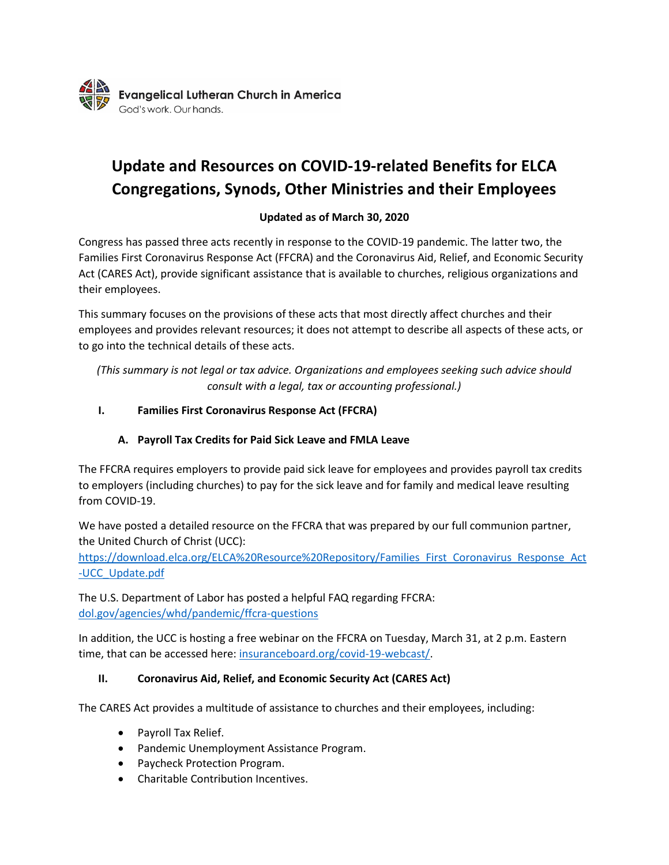

# **Update and Resources on COVID-19-related Benefits for ELCA Congregations, Synods, Other Ministries and their Employees**

## **Updated as of March 30, 2020**

Congress has passed three acts recently in response to the COVID-19 pandemic. The latter two, the Families First Coronavirus Response Act (FFCRA) and the Coronavirus Aid, Relief, and Economic Security Act (CARES Act), provide significant assistance that is available to churches, religious organizations and their employees.

This summary focuses on the provisions of these acts that most directly affect churches and their employees and provides relevant resources; it does not attempt to describe all aspects of these acts, or to go into the technical details of these acts.

*(This summary is not legal or tax advice. Organizations and employees seeking such advice should consult with a legal, tax or accounting professional.)*

## **I. Families First Coronavirus Response Act (FFCRA)**

## **A. Payroll Tax Credits for Paid Sick Leave and FMLA Leave**

The FFCRA requires employers to provide paid sick leave for employees and provides payroll tax credits to employers (including churches) to pay for the sick leave and for family and medical leave resulting from COVID-19.

We have posted a detailed resource on the FFCRA that was prepared by our full communion partner, the United Church of Christ (UCC):

[https://download.elca.org/ELCA%20Resource%20Repository/Families\\_First\\_Coronavirus\\_Response\\_Act](https://download.elca.org/ELCA%20Resource%20Repository/Families_First_Coronavirus_Response_Act-UCC_Update.pdf) [-UCC\\_Update.pdf](https://download.elca.org/ELCA%20Resource%20Repository/Families_First_Coronavirus_Response_Act-UCC_Update.pdf)

The U.S. Department of Labor has posted a helpful FAQ regarding FFCRA: [dol.gov/agencies/whd/pandemic/ffcra-questions](https://www.dol.gov/agencies/whd/pandemic/ffcra-questions)

In addition, the UCC is hosting a free webinar on the FFCRA on Tuesday, March 31, at 2 p.m. Eastern time, that can be accessed here: [insuranceboard.org/covid-19-webcast/.](https://www.insuranceboard.org/covid-19-webcast/)

## **II. Coronavirus Aid, Relief, and Economic Security Act (CARES Act)**

The CARES Act provides a multitude of assistance to churches and their employees, including:

- Payroll Tax Relief.
- Pandemic Unemployment Assistance Program.
- Paycheck Protection Program.
- Charitable Contribution Incentives.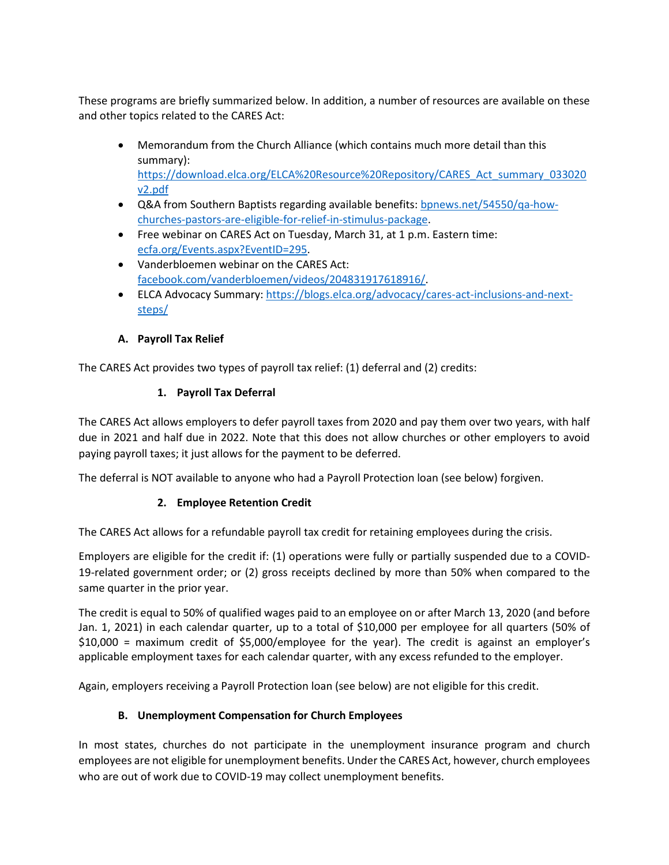These programs are briefly summarized below. In addition, a number of resources are available on these and other topics related to the CARES Act:

- Memorandum from the Church Alliance (which contains much more detail than this summary): [https://download.elca.org/ELCA%20Resource%20Repository/CARES\\_Act\\_summary\\_033020](https://download.elca.org/ELCA%20Resource%20Repository/CARES_Act_summary_033020v2.pdf) [v2.pdf](https://download.elca.org/ELCA%20Resource%20Repository/CARES_Act_summary_033020v2.pdf)
- Q&A from Southern Baptists regarding available benefits: [bpnews.net/54550/qa-how](http://www.bpnews.net/54550/qa-how-churches-pastors-are-eligible-for-relief-in-stimulus-package)[churches-pastors-are-eligible-for-relief-in-stimulus-package.](http://www.bpnews.net/54550/qa-how-churches-pastors-are-eligible-for-relief-in-stimulus-package)
- Free webinar on CARES Act on Tuesday, March 31, at 1 p.m. Eastern time: [ecfa.org/Events.aspx?EventID=295.](https://www.ecfa.org/Events.aspx?EventID=295)
- Vanderbloemen webinar on the CARES Act: [facebook.com/vanderbloemen/videos/204831917618916/.](https://www.facebook.com/vanderbloemen/videos/204831917618916/)
- ELCA Advocacy Summary[: https://blogs.elca.org/advocacy/cares-act-inclusions-and-next](https://blogs.elca.org/advocacy/cares-act-inclusions-and-next-steps/)[steps/](https://blogs.elca.org/advocacy/cares-act-inclusions-and-next-steps/)

## **A. Payroll Tax Relief**

The CARES Act provides two types of payroll tax relief: (1) deferral and (2) credits:

## **1. Payroll Tax Deferral**

The CARES Act allows employers to defer payroll taxes from 2020 and pay them over two years, with half due in 2021 and half due in 2022. Note that this does not allow churches or other employers to avoid paying payroll taxes; it just allows for the payment to be deferred.

The deferral is NOT available to anyone who had a Payroll Protection loan (see below) forgiven.

## **2. Employee Retention Credit**

The CARES Act allows for a refundable payroll tax credit for retaining employees during the crisis.

Employers are eligible for the credit if: (1) operations were fully or partially suspended due to a COVID-19-related government order; or (2) gross receipts declined by more than 50% when compared to the same quarter in the prior year.

The credit is equal to 50% of qualified wages paid to an employee on or after March 13, 2020 (and before Jan. 1, 2021) in each calendar quarter, up to a total of \$10,000 per employee for all quarters (50% of \$10,000 = maximum credit of \$5,000/employee for the year). The credit is against an employer's applicable employment taxes for each calendar quarter, with any excess refunded to the employer.

Again, employers receiving a Payroll Protection loan (see below) are not eligible for this credit.

## **B. Unemployment Compensation for Church Employees**

In most states, churches do not participate in the unemployment insurance program and church employees are not eligible for unemployment benefits. Under the CARES Act, however, church employees who are out of work due to COVID-19 may collect unemployment benefits.